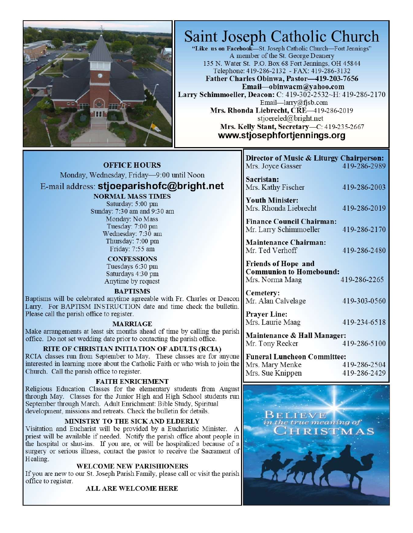

# Saint Joseph Catholic Church

"Like us on Facebook-St. Joseph Catholic Church-Fort Jennings" A member of the St. George Deanery 135 N. Water St. P.O. Box 68 Fort Jennings, OH 45844 Telephone: 419-286-2132 - FAX: 419-286-3132 Father Charles Obinwa, Pastor-419-203-7656

Email-obinwacm@yahoo.com Larry Schimmoeller, Deacon: C: 419-302-2532~H: 419-286-2170 Email-larry@fjsb.com

Mrs. Rhonda Liebrecht, CRE-419-286-2019 stjoereled@bright.net Mrs. Kelly Stant, Secretary-C: 419-235-2667 www.stjosephfortjennings.org

| <b>OBBIOBHOURS</b>                        |
|-------------------------------------------|
| Monday, Wednesday, Friday—9:00 until Noon |
| E-mail address: stjoeparishofc@bright.ne  |
| <b>NORMAL MASS TIMES</b>                  |

Saturday: 5:00 pm Sunday: 7:30 am and 9:30 am Monday: No Mass Tuesday: 7:00 pm Wednesday: 7:30 am Thursday: 7:00 pm Friday: 7:55 am

> **CONFESSIONS** Tuesdays 6:30 pm Saturdays 4:30 pm Anytime by request

## **BAPTISMS**

Baptisms will be celebrated anytime agreeable with Fr. Charles or Deacon Larry. For BAPTISM INSTRUCTION date and time check the bulletin. Please call the parish office to register.

### **MARRIAGE**

Make arrangements at least six months ahead of time by calling the parish office. Do not set wedding date prior to contacting the parish office.

RITE OF CHRISTIAN INITIATION OF ADULTS (RCIA) RCIA classes run from September to May. These classes are for anyone interested in learning more about the Catholic Faith or who wish to join the Church. Call the parish office to register.

## **FAITH ENRICHMENT**

Religious Education Classes for the elementary students from August through May. Classes for the Junior High and High School students run September through March. Adult Enrichment: Bible Study, Spiritual development, missions and retreats. Check the bulletin for details.

## MINISTRY TO THE SICK AND ELDERLY

Visitation and Eucharist will be provided by a Eucharistic Minister. A priest will be available if needed. Notify the parish office about people in the hospital or shut-ins. If you are, or will be hospitalized because of a surgery or serious illness, contact the pastor to receive the Sacrament of Healing.

### **WELCOME NEW PARISHIONERS**

If you are new to our St. Joseph Parish Family, please call or visit the parish office to register.

### **ALL ARE WELCOME HERE**

| Director of Music & Liturgy Chairperson: |              |
|------------------------------------------|--------------|
| Mrs. Joyce Gasser                        | 419-286-2989 |

Sacristan: Mrs. Kathy Fischer 419-286-2003 **Youth Minister:** 

Mrs. Rhonda Liebrecht 419-286-2019

**Finance Council Chairman:** Mr. Larry Schimmoeller 419-286-2170

**Maintenance Chairman:** Mr. Ted Verhoff 419-286-2480

Friends of Hope and **Communion to Homebound:** Mrs. Norma Maag 419-286-2265

Cemetery: Mr. Alan Calvelage 419-303-0560

**Prayer Line:** 419-234-6518 Mrs. Laurie Maag

Maintenance & Hall Manager: Mr. Tony Recker 419-286-5100

### **Funeral Luncheon Committee:** Mrs. Mary Menke 419-286-2504 Mrs. Sue Knippen 419-286-2429

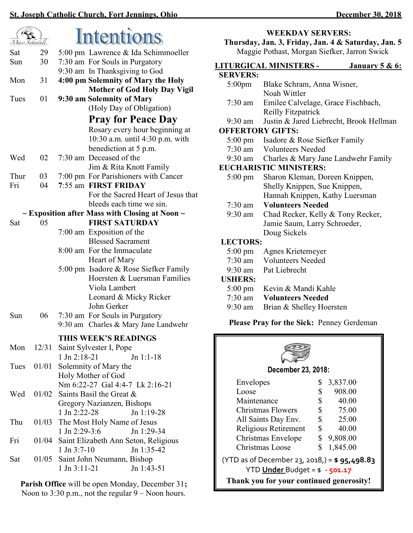| Mass Schedule |       | <b>Intentions</b>                                                                 |
|---------------|-------|-----------------------------------------------------------------------------------|
| Sat           | 29    | 5:00 pm Lawrence & Ida Schimmoeller                                               |
| Sun           | 30    | 7:30 am For Souls in Purgatory                                                    |
|               |       | 9:30 am In Thanksgiving to God                                                    |
| Mon           | 31    | 4:00 pm Solemnity of Mary the Holy                                                |
|               |       | <b>Mother of God Holy Day Vigil</b>                                               |
| Tues          | 01    | 9:30 am Solemnity of Mary                                                         |
|               |       | (Holy Day of Obligation)                                                          |
|               |       | <b>Pray for Peace Day</b>                                                         |
|               |       | Rosary every hour beginning at                                                    |
|               |       | 10:30 a.m. until 4:30 p.m. with                                                   |
|               |       | benediction at 5 p.m.                                                             |
| Wed           | 02    | 7:30 am Deceased of the                                                           |
|               |       | Jim & Rita Knott Family                                                           |
| Thur          | 03    | 7:00 pm For Parishioners with Cancer                                              |
| Fri           | 04    | 7:55 am FIRST FRIDAY                                                              |
|               |       | For the Sacred Heart of Jesus that                                                |
|               |       | bleeds each time we sin.                                                          |
| Sat           | 05    | $\sim$ Exposition after Mass with Closing at Noon $\sim$<br><b>FIRST SATURDAY</b> |
|               |       | 7:00 am Exposition of the                                                         |
|               |       | <b>Blessed Sacrament</b>                                                          |
|               |       | 8:00 am For the Immaculate                                                        |
|               |       | Heart of Mary                                                                     |
|               |       | 5:00 pm Isadore & Rose Siefker Family                                             |
|               |       | Hoersten & Luersman Families                                                      |
|               |       | Viola Lambert                                                                     |
|               |       | Leonard & Micky Ricker                                                            |
|               |       | John Gerker                                                                       |
| Sun           | 06    | 7:30 am For Souls in Purgatory                                                    |
|               |       | Charles & Mary Jane Landwehr<br>9:30 am                                           |
|               |       | THIS WEEK'S READINGS                                                              |
|               |       | Mon 12/31 Saint Sylvester I, Pope                                                 |
|               |       | $1$ Jn $2:18-21$<br>$Jn 1:1-18$                                                   |
| Tues          | 01/01 | Solemnity of Mary the                                                             |
|               |       | Holy Mother of God                                                                |
|               |       | Nm 6:22-27 Gal 4:4-7 Lk 2:16-21                                                   |
| Wed           |       | 01/02 Saints Basil the Great $&$                                                  |
|               |       | Gregory Nazianzen, Bishops<br>1 Jn 2:22-28<br>Jn 1:19-28                          |
| Thu           | 01/03 | The Most Holy Name of Jesus                                                       |
|               |       | 1 Jn 2:29-3:6<br>Jn 1:29-34                                                       |
| Fri           |       | 01/04 Saint Elizabeth Ann Seton, Religious                                        |
|               |       | $1$ Jn $3:7-10$<br>Jn 1:35-42                                                     |
| Sat           |       | 01/05 Saint John Neumann, Bishop                                                  |
|               |       | $1$ Jn $3:11-21$<br>Jn 1:43-51                                                    |
|               |       |                                                                                   |

Parish Office will be open Monday, December 31; Noon to 3:30 p.m., not the regular 9 – Noon hours.

## WEEKDAV SERVERS.

| WEERDAT SERVERS.<br>Thursday, Jan. 3, Friday, Jan. 4 & Saturday, Jan. 5<br>Maggie Pothast, Morgan Siefker, Jarron Swick |                                         |  |  |  |  |  |  |
|-------------------------------------------------------------------------------------------------------------------------|-----------------------------------------|--|--|--|--|--|--|
| <b>LITURGICAL MINISTERS -</b><br>January $5 & 6$ :                                                                      |                                         |  |  |  |  |  |  |
| <b>SERVERS:</b>                                                                                                         |                                         |  |  |  |  |  |  |
| $5:00$ pm                                                                                                               | Blake Schram, Anna Wisner,              |  |  |  |  |  |  |
|                                                                                                                         | Noah Wittler                            |  |  |  |  |  |  |
| 7:30 am                                                                                                                 | Emilee Calvelage, Grace Fischbach,      |  |  |  |  |  |  |
|                                                                                                                         | <b>Reilly Fitzpatrick</b>               |  |  |  |  |  |  |
| $9:30$ am                                                                                                               | Justin & Jared Liebrecht, Brook Hellman |  |  |  |  |  |  |
| <b>OFFERTORY GIFTS:</b>                                                                                                 |                                         |  |  |  |  |  |  |
|                                                                                                                         | 5:00 pm Isadore & Rose Siefker Family   |  |  |  |  |  |  |
|                                                                                                                         | 7:30 am Volunteers Needed               |  |  |  |  |  |  |
| 9:30 am                                                                                                                 | Charles & Mary Jane Landwehr Family     |  |  |  |  |  |  |
|                                                                                                                         | <b>EUCHARISTIC MINISTERS:</b>           |  |  |  |  |  |  |
| $5:00 \text{ pm}$                                                                                                       | Sharon Kleman, Doreen Knippen,          |  |  |  |  |  |  |
|                                                                                                                         | Shelly Knippen, Sue Knippen,            |  |  |  |  |  |  |
|                                                                                                                         | Hannah Knippen, Kathy Luersman          |  |  |  |  |  |  |
| $7:30$ am                                                                                                               | <b>Volunteers Needed</b>                |  |  |  |  |  |  |
| $9:30$ am                                                                                                               | Chad Recker, Kelly & Tony Recker,       |  |  |  |  |  |  |
|                                                                                                                         | Jamie Saum, Larry Schroeder,            |  |  |  |  |  |  |
|                                                                                                                         | Doug Sickels                            |  |  |  |  |  |  |
|                                                                                                                         | <b>LECTORS:</b>                         |  |  |  |  |  |  |
| $5:00 \text{ pm}$                                                                                                       | Agnes Krietemeyer                       |  |  |  |  |  |  |
| $7:30$ am                                                                                                               | <b>Volunteers Needed</b>                |  |  |  |  |  |  |
| $9:30$ am                                                                                                               | Pat Liebrecht                           |  |  |  |  |  |  |
| <b>USHERS:</b>                                                                                                          |                                         |  |  |  |  |  |  |
| $5:00 \text{ pm}$                                                                                                       | Kevin & Mandi Kahle                     |  |  |  |  |  |  |
| $7:30$ am                                                                                                               | <b>Volunteers Needed</b>                |  |  |  |  |  |  |
| $9:30$ am                                                                                                               | Brian & Shelley Hoersten                |  |  |  |  |  |  |
| Please Pray for the Sick: Penney Gerdeman                                                                               |                                         |  |  |  |  |  |  |



## December 23, 2018:

| Envelopes                                    |    | 3,837.00 |  |
|----------------------------------------------|----|----------|--|
| Loose                                        | \$ | 908.00   |  |
| Maintenance                                  | \$ | 40.00    |  |
| <b>Christmas Flowers</b>                     | \$ | 75.00    |  |
| All Saints Day Env.                          | \$ | 25.00    |  |
| Religious Retirement                         | \$ | 40.00    |  |
| Christmas Envelope                           |    | 9,808.00 |  |
| Christmas Loose                              | S  | 1,845.00 |  |
| (YTD as of December 23, 2018,) = \$95,498.83 |    |          |  |

YTD Under Budget = \$ - 501.17

Thank you for your continued generosity!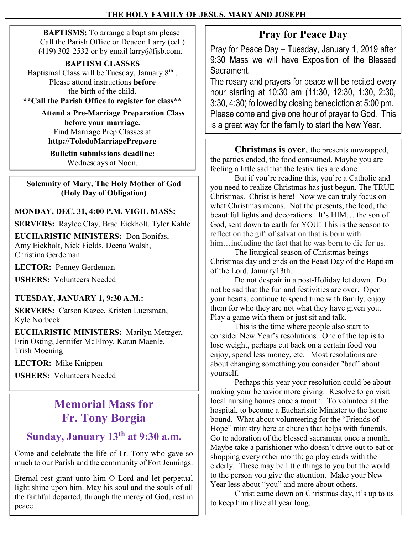BAPTISMS: To arrange a baptism please Call the Parish Office or Deacon Larry (cell) (419) 302-2532 or by email  $\frac{\text{larry}(a)}{\text{flsb.com}}$ .

## BAPTISM CLASSES

Baptismal Class will be Tuesday, January  $8<sup>th</sup>$ . Please attend instructions before the birth of the child.

\*\*Call the Parish Office to register for class\*\*

 Attend a Pre-Marriage Preparation Class before your marriage. Find Marriage Prep Classes at http://ToledoMarriagePrep.org

Bulletin submissions deadline: Wednesdays at Noon.

Solemnity of Mary, The Holy Mother of God (Holy Day of Obligation)

## MONDAY, DEC. 31, 4:00 P.M. VIGIL MASS:

SERVERS: Raylee Clay, Brad Eickholt, Tyler Kahle

EUCHARISTIC MINISTERS: Don Bonifas, Amy Eickholt, Nick Fields, Deena Walsh, Christina Gerdeman

LECTOR: Penney Gerdeman

USHERS: Volunteers Needed

TUESDAY, JANUARY 1, 9:30 A.M.:

SERVERS: Carson Kazee, Kristen Luersman, Kyle Norbeck

EUCHARISTIC MINISTERS: Marilyn Metzger, Erin Osting, Jennifer McElroy, Karan Maenle, Trish Moening

LECTOR: Mike Knippen

USHERS: Volunteers Needed

# Memorial Mass for Fr. Tony Borgia

# Sunday, January  $13<sup>th</sup>$  at 9:30 a.m.

Come and celebrate the life of Fr. Tony who gave so much to our Parish and the community of Fort Jennings.

Eternal rest grant unto him O Lord and let perpetual light shine upon him. May his soul and the souls of all the faithful departed, through the mercy of God, rest in peace.

# Pray for Peace Day

Pray for Peace Day – Tuesday, January 1, 2019 after 9:30 Mass we will have Exposition of the Blessed Sacrament.

The rosary and prayers for peace will be recited every hour starting at 10:30 am (11:30, 12:30, 1:30, 2:30, 3:30, 4:30) followed by closing benediction at 5:00 pm. Please come and give one hour of prayer to God. This is a great way for the family to start the New Year.

 Christmas is over, the presents unwrapped, the parties ended, the food consumed. Maybe you are feeling a little sad that the festivities are done.

 But if you're reading this, you're a Catholic and you need to realize Christmas has just begun. The TRUE Christmas. Christ is here! Now we can truly focus on what Christmas means. Not the presents, the food, the beautiful lights and decorations. It's HIM… the son of God, sent down to earth for YOU! This is the season to reflect on the gift of salvation that is born with him... including the fact that he was born to die for us.

 The liturgical season of Christmas beings Christmas day and ends on the Feast Day of the Baptism of the Lord, January13th.

 Do not despair in a post-Holiday let down. Do not be sad that the fun and festivities are over. Open your hearts, continue to spend time with family, enjoy them for who they are not what they have given you. Play a game with them or just sit and talk.

 This is the time where people also start to consider New Year's resolutions. One of the top is to lose weight, perhaps cut back on a certain food you enjoy, spend less money, etc. Most resolutions are about changing something you consider "bad" about yourself.

 Perhaps this year your resolution could be about making your behavior more giving. Resolve to go visit local nursing homes once a month. To volunteer at the hospital, to become a Eucharistic Minister to the home bound. What about volunteering for the "Friends of Hope" ministry here at church that helps with funerals. Go to adoration of the blessed sacrament once a month. Maybe take a parishioner who doesn't drive out to eat or shopping every other month; go play cards with the elderly. These may be little things to you but the world to the person you give the attention. Make your New Year less about "you" and more about others.

 Christ came down on Christmas day, it's up to us to keep him alive all year long.